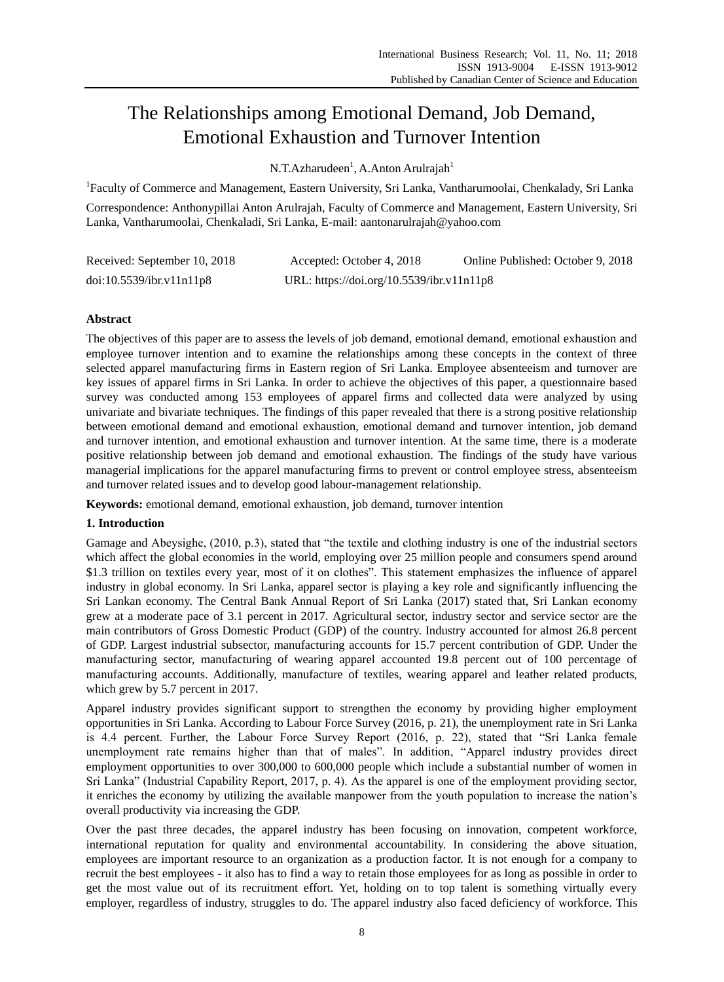# The Relationships among Emotional Demand, Job Demand, Emotional Exhaustion and Turnover Intention

N.T.Azharudeen<sup>1</sup>, A.Anton Arulrajah<sup>1</sup>

<sup>1</sup>Faculty of Commerce and Management, Eastern University, Sri Lanka, Vantharumoolai, Chenkalady, Sri Lanka

Correspondence: Anthonypillai Anton Arulrajah, Faculty of Commerce and Management, Eastern University, Sri Lanka, Vantharumoolai, Chenkaladi, Sri Lanka, E-mail: aantonarulrajah@yahoo.com

| Received: September 10, 2018 | Accepted: October 4, 2018                 | Online Published: October 9, 2018 |
|------------------------------|-------------------------------------------|-----------------------------------|
| doi:10.5539/ibr.v11n11p8     | URL: https://doi.org/10.5539/ibr.v11n11p8 |                                   |

# **Abstract**

The objectives of this paper are to assess the levels of job demand, emotional demand, emotional exhaustion and employee turnover intention and to examine the relationships among these concepts in the context of three selected apparel manufacturing firms in Eastern region of Sri Lanka. Employee absenteeism and turnover are key issues of apparel firms in Sri Lanka. In order to achieve the objectives of this paper, a questionnaire based survey was conducted among 153 employees of apparel firms and collected data were analyzed by using univariate and bivariate techniques. The findings of this paper revealed that there is a strong positive relationship between emotional demand and emotional exhaustion, emotional demand and turnover intention, job demand and turnover intention, and emotional exhaustion and turnover intention. At the same time, there is a moderate positive relationship between job demand and emotional exhaustion. The findings of the study have various managerial implications for the apparel manufacturing firms to prevent or control employee stress, absenteeism and turnover related issues and to develop good labour-management relationship.

**Keywords:** emotional demand, emotional exhaustion, job demand, turnover intention

# **1. Introduction**

Gamage and Abeysighe, (2010, p.3), stated that "the textile and clothing industry is one of the industrial sectors which affect the global economies in the world, employing over 25 million people and consumers spend around \$1.3 trillion on textiles every year, most of it on clothes". This statement emphasizes the influence of apparel industry in global economy. In Sri Lanka, apparel sector is playing a key role and significantly influencing the Sri Lankan economy. The Central Bank Annual Report of Sri Lanka (2017) stated that, Sri Lankan economy grew at a moderate pace of 3.1 percent in 2017. Agricultural sector, industry sector and service sector are the main contributors of Gross Domestic Product (GDP) of the country. Industry accounted for almost 26.8 percent of GDP. Largest industrial subsector, manufacturing accounts for 15.7 percent contribution of GDP. Under the manufacturing sector, manufacturing of wearing apparel accounted 19.8 percent out of 100 percentage of manufacturing accounts. Additionally, manufacture of textiles, wearing apparel and leather related products, which grew by 5.7 percent in 2017.

Apparel industry provides significant support to strengthen the economy by providing higher employment opportunities in Sri Lanka. According to Labour Force Survey (2016, p. 21), the unemployment rate in Sri Lanka is 4.4 percent. Further, the Labour Force Survey Report (2016, p. 22), stated that "Sri Lanka female unemployment rate remains higher than that of males". In addition, "Apparel industry provides direct employment opportunities to over 300,000 to 600,000 people which include a substantial number of women in Sri Lanka" (Industrial Capability Report, 2017, p. 4). As the apparel is one of the employment providing sector, it enriches the economy by utilizing the available manpower from the youth population to increase the nation"s overall productivity via increasing the GDP.

Over the past three decades, the apparel industry has been focusing on innovation, competent workforce, international reputation for quality and environmental accountability. In considering the above situation, employees are important resource to an organization as a production factor. It is not enough for a company to recruit the best employees - it also has to find a way to retain those employees for as long as possible in order to get the most value out of its recruitment effort. Yet, holding on to top talent is something virtually every employer, regardless of industry, struggles to do. The apparel industry also faced deficiency of workforce. This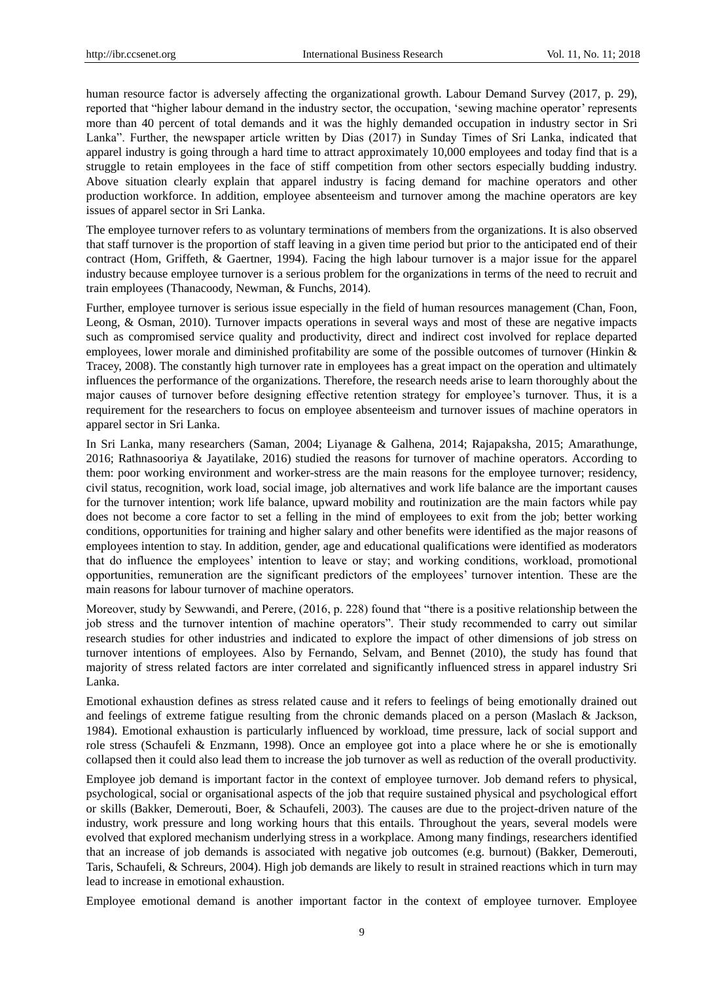human resource factor is adversely affecting the organizational growth. Labour Demand Survey (2017, p. 29), reported that "higher labour demand in the industry sector, the occupation, 'sewing machine operator' represents more than 40 percent of total demands and it was the highly demanded occupation in industry sector in Sri Lanka". Further, the newspaper article written by Dias (2017) in Sunday Times of Sri Lanka, indicated that apparel industry is going through a hard time to attract approximately 10,000 employees and today find that is a struggle to retain employees in the face of stiff competition from other sectors especially budding industry. Above situation clearly explain that apparel industry is facing demand for machine operators and other production workforce. In addition, employee absenteeism and turnover among the machine operators are key issues of apparel sector in Sri Lanka.

The employee turnover refers to as voluntary terminations of members from the organizations. It is also observed that staff turnover is the proportion of staff leaving in a given time period but prior to the anticipated end of their contract (Hom, Griffeth, & Gaertner, 1994). Facing the high labour turnover is a major issue for the apparel industry because employee turnover is a serious problem for the organizations in terms of the need to recruit and train employees (Thanacoody, Newman, & Funchs, 2014).

Further, employee turnover is serious issue especially in the field of human resources management (Chan, Foon, Leong, & Osman, 2010). Turnover impacts operations in several ways and most of these are negative impacts such as compromised service quality and productivity, direct and indirect cost involved for replace departed employees, lower morale and diminished profitability are some of the possible outcomes of turnover (Hinkin & Tracey, 2008). The constantly high turnover rate in employees has a great impact on the operation and ultimately influences the performance of the organizations. Therefore, the research needs arise to learn thoroughly about the major causes of turnover before designing effective retention strategy for employee"s turnover. Thus, it is a requirement for the researchers to focus on employee absenteeism and turnover issues of machine operators in apparel sector in Sri Lanka.

In Sri Lanka, many researchers (Saman, 2004; Liyanage & Galhena, 2014; Rajapaksha, 2015; Amarathunge, 2016; Rathnasooriya & Jayatilake, 2016) studied the reasons for turnover of machine operators. According to them: poor working environment and worker-stress are the main reasons for the employee turnover; residency, civil status, recognition, work load, social image, job alternatives and work life balance are the important causes for the turnover intention; work life balance, upward mobility and routinization are the main factors while pay does not become a core factor to set a felling in the mind of employees to exit from the job; better working conditions, opportunities for training and higher salary and other benefits were identified as the major reasons of employees intention to stay. In addition, gender, age and educational qualifications were identified as moderators that do influence the employees" intention to leave or stay; and working conditions, workload, promotional opportunities, remuneration are the significant predictors of the employees" turnover intention. These are the main reasons for labour turnover of machine operators.

Moreover, study by Sewwandi, and Perere, (2016, p. 228) found that "there is a positive relationship between the job stress and the turnover intention of machine operators". Their study recommended to carry out similar research studies for other industries and indicated to explore the impact of other dimensions of job stress on turnover intentions of employees. Also by Fernando, Selvam, and Bennet (2010), the study has found that majority of stress related factors are inter correlated and significantly influenced stress in apparel industry Sri Lanka.

Emotional exhaustion defines as stress related cause and it refers to feelings of being emotionally drained out and feelings of extreme fatigue resulting from the chronic demands placed on a person (Maslach & Jackson, 1984). Emotional exhaustion is particularly influenced by workload, time pressure, lack of social support and role stress (Schaufeli & Enzmann, 1998). Once an employee got into a place where he or she is emotionally collapsed then it could also lead them to increase the job turnover as well as reduction of the overall productivity.

Employee job demand is important factor in the context of employee turnover. Job demand refers to physical, psychological, social or organisational aspects of the job that require sustained physical and psychological effort or skills (Bakker, Demerouti, Boer, & Schaufeli, 2003). The causes are due to the project-driven nature of the industry, work pressure and long working hours that this entails. Throughout the years, several models were evolved that explored mechanism underlying stress in a workplace. Among many findings, researchers identified that an increase of job demands is associated with negative job outcomes (e.g. burnout) (Bakker, Demerouti, Taris, Schaufeli, & Schreurs, 2004). High job demands are likely to result in strained reactions which in turn may lead to increase in emotional exhaustion.

Employee emotional demand is another important factor in the context of employee turnover. Employee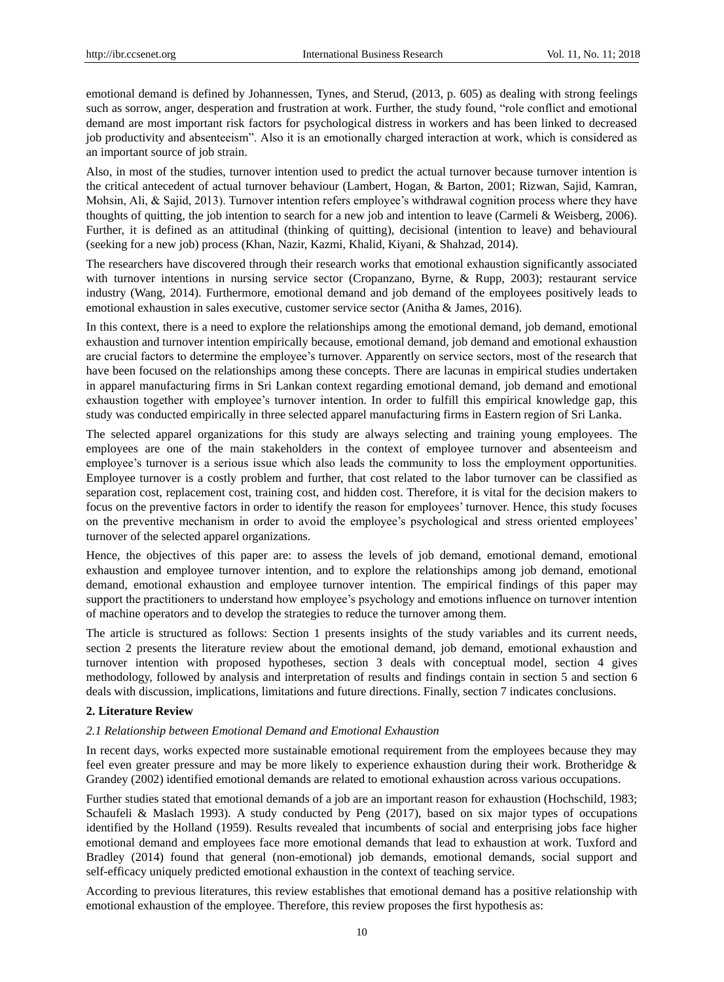emotional demand is defined by Johannessen, Tynes, and Sterud, (2013, p. 605) as dealing with strong feelings such as sorrow, anger, desperation and frustration at work. Further, the study found, "role conflict and emotional demand are most important risk factors for psychological distress in workers and has been linked to decreased job productivity and absenteeism". Also it is an emotionally charged interaction at work, which is considered as an important source of job strain.

Also, in most of the studies, turnover intention used to predict the actual turnover because turnover intention is the critical antecedent of actual turnover behaviour (Lambert, Hogan, & Barton, 2001; Rizwan, Sajid, Kamran, Mohsin, Ali, & Sajid, 2013). Turnover intention refers employee's withdrawal cognition process where they have thoughts of quitting, the job intention to search for a new job and intention to leave (Carmeli & Weisberg, 2006). Further, it is defined as an attitudinal (thinking of quitting), decisional (intention to leave) and behavioural (seeking for a new job) process (Khan, Nazir, Kazmi, Khalid, Kiyani, & Shahzad, 2014).

The researchers have discovered through their research works that emotional exhaustion significantly associated with turnover intentions in nursing service sector (Cropanzano, Byrne, & Rupp, 2003); restaurant service industry (Wang, 2014). Furthermore, emotional demand and job demand of the employees positively leads to emotional exhaustion in sales executive, customer service sector (Anitha & James, 2016).

In this context, there is a need to explore the relationships among the emotional demand, job demand, emotional exhaustion and turnover intention empirically because, emotional demand, job demand and emotional exhaustion are crucial factors to determine the employee"s turnover. Apparently on service sectors, most of the research that have been focused on the relationships among these concepts. There are lacunas in empirical studies undertaken in apparel manufacturing firms in Sri Lankan context regarding emotional demand, job demand and emotional exhaustion together with employee"s turnover intention. In order to fulfill this empirical knowledge gap, this study was conducted empirically in three selected apparel manufacturing firms in Eastern region of Sri Lanka.

The selected apparel organizations for this study are always selecting and training young employees. The employees are one of the main stakeholders in the context of employee turnover and absenteeism and employee"s turnover is a serious issue which also leads the community to loss the employment opportunities. Employee turnover is a costly problem and further, that cost related to the labor turnover can be classified as separation cost, replacement cost, training cost, and hidden cost. Therefore, it is vital for the decision makers to focus on the preventive factors in order to identify the reason for employees" turnover. Hence, this study focuses on the preventive mechanism in order to avoid the employee's psychological and stress oriented employees' turnover of the selected apparel organizations.

Hence, the objectives of this paper are: to assess the levels of job demand, emotional demand, emotional exhaustion and employee turnover intention, and to explore the relationships among job demand, emotional demand, emotional exhaustion and employee turnover intention. The empirical findings of this paper may support the practitioners to understand how employee's psychology and emotions influence on turnover intention of machine operators and to develop the strategies to reduce the turnover among them.

The article is structured as follows: Section 1 presents insights of the study variables and its current needs, section 2 presents the literature review about the emotional demand, job demand, emotional exhaustion and turnover intention with proposed hypotheses, section 3 deals with conceptual model, section 4 gives methodology, followed by analysis and interpretation of results and findings contain in section 5 and section 6 deals with discussion, implications, limitations and future directions. Finally, section 7 indicates conclusions.

## **2. Literature Review**

## *2.1 Relationship between Emotional Demand and Emotional Exhaustion*

In recent days, works expected more sustainable emotional requirement from the employees because they may feel even greater pressure and may be more likely to experience exhaustion during their work. Brotheridge & Grandey (2002) identified emotional demands are related to emotional exhaustion across various occupations.

Further studies stated that emotional demands of a job are an important reason for exhaustion (Hochschild, 1983; Schaufeli & Maslach 1993). A study conducted by Peng (2017), based on six major types of occupations identified by the Holland (1959). Results revealed that incumbents of social and enterprising jobs face higher emotional demand and employees face more emotional demands that lead to exhaustion at work. Tuxford and Bradley (2014) found that general (non-emotional) job demands, emotional demands, social support and self-efficacy uniquely predicted emotional exhaustion in the context of teaching service.

According to previous literatures, this review establishes that emotional demand has a positive relationship with emotional exhaustion of the employee. Therefore, this review proposes the first hypothesis as: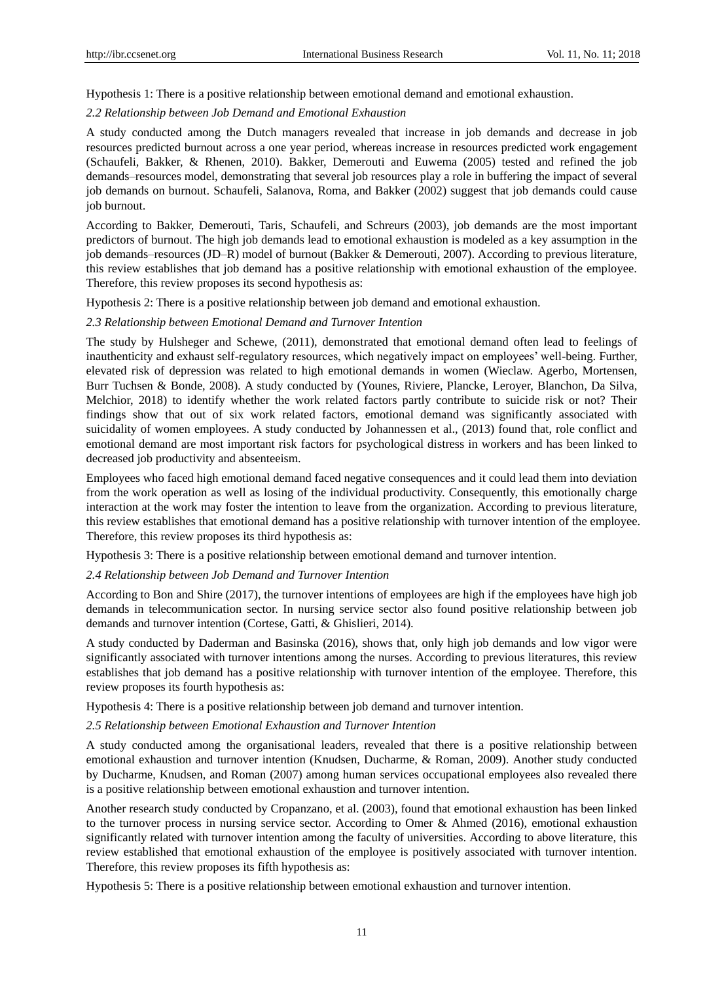Hypothesis 1: There is a positive relationship between emotional demand and emotional exhaustion.

## *2.2 Relationship between Job Demand and Emotional Exhaustion*

A study conducted among the Dutch managers revealed that increase in job demands and decrease in job resources predicted burnout across a one year period, whereas increase in resources predicted work engagement (Schaufeli, Bakker, & Rhenen, 2010). Bakker, Demerouti and Euwema (2005) tested and refined the job demands–resources model, demonstrating that several job resources play a role in buffering the impact of several job demands on burnout. Schaufeli, Salanova, Roma, and Bakker (2002) suggest that job demands could cause job burnout.

According to Bakker, Demerouti, Taris, Schaufeli, and Schreurs (2003), job demands are the most important predictors of burnout. The high job demands lead to emotional exhaustion is modeled as a key assumption in the job demands–resources (JD–R) model of burnout (Bakker & Demerouti, 2007). According to previous literature, this review establishes that job demand has a positive relationship with emotional exhaustion of the employee. Therefore, this review proposes its second hypothesis as:

Hypothesis 2: There is a positive relationship between job demand and emotional exhaustion.

#### *2.3 Relationship between Emotional Demand and Turnover Intention*

The study by Hulsheger and Schewe, (2011), demonstrated that emotional demand often lead to feelings of inauthenticity and exhaust self-regulatory resources, which negatively impact on employees" well-being. Further, elevated risk of depression was related to high emotional demands in women (Wieclaw. Agerbo, Mortensen, Burr Tuchsen & Bonde, 2008). A study conducted by (Younes, Riviere, Plancke, Leroyer, Blanchon, Da Silva, Melchior, 2018) to identify whether the work related factors partly contribute to suicide risk or not? Their findings show that out of six work related factors, emotional demand was significantly associated with suicidality of women employees. A study conducted by Johannessen et al., (2013) found that, role conflict and emotional demand are most important risk factors for psychological distress in workers and has been linked to decreased job productivity and absenteeism.

Employees who faced high emotional demand faced negative consequences and it could lead them into deviation from the work operation as well as losing of the individual productivity. Consequently, this emotionally charge interaction at the work may foster the intention to leave from the organization. According to previous literature, this review establishes that emotional demand has a positive relationship with turnover intention of the employee. Therefore, this review proposes its third hypothesis as:

Hypothesis 3: There is a positive relationship between emotional demand and turnover intention.

#### *2.4 Relationship between Job Demand and Turnover Intention*

According to Bon and Shire (2017), the turnover intentions of employees are high if the employees have high job demands in telecommunication sector. In nursing service sector also found positive relationship between job demands and turnover intention (Cortese, Gatti, & Ghislieri, 2014).

A study conducted by Daderman and Basinska (2016), shows that, only high job demands and low vigor were significantly associated with turnover intentions among the nurses. According to previous literatures, this review establishes that job demand has a positive relationship with turnover intention of the employee. Therefore, this review proposes its fourth hypothesis as:

Hypothesis 4: There is a positive relationship between job demand and turnover intention.

#### *2.5 Relationship between Emotional Exhaustion and Turnover Intention*

A study conducted among the organisational leaders, revealed that there is a positive relationship between emotional exhaustion and turnover intention (Knudsen, Ducharme, & Roman, 2009). Another study conducted by Ducharme, Knudsen, and Roman (2007) among human services occupational employees also revealed there is a positive relationship between emotional exhaustion and turnover intention.

Another research study conducted by Cropanzano, et al. (2003), found that emotional exhaustion has been linked to the turnover process in nursing service sector. According to Omer & Ahmed (2016), emotional exhaustion significantly related with turnover intention among the faculty of universities. According to above literature, this review established that emotional exhaustion of the employee is positively associated with turnover intention. Therefore, this review proposes its fifth hypothesis as:

Hypothesis 5: There is a positive relationship between emotional exhaustion and turnover intention.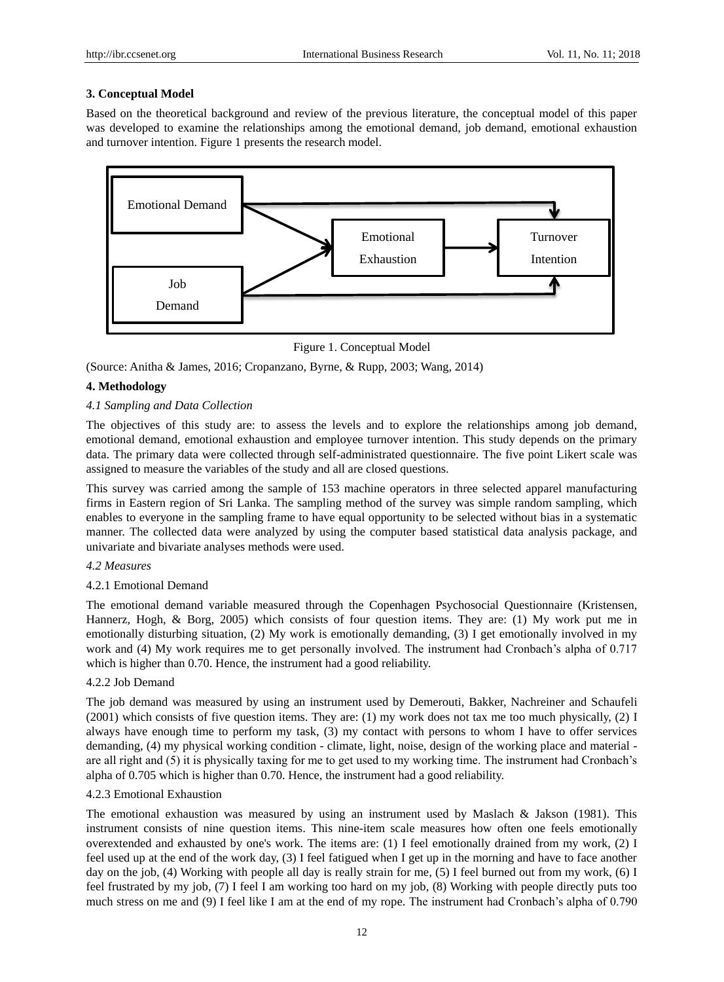## **3. Conceptual Model**

Based on the theoretical background and review of the previous literature, the conceptual model of this paper was developed to examine the relationships among the emotional demand, job demand, emotional exhaustion and turnover intention. Figure 1 presents the research model.



# Figure 1. Conceptual Model

(Source: Anitha & James, 2016; Cropanzano, Byrne, & Rupp, 2003; Wang, 2014)

# **4. Methodology**

## *4.1 Sampling and Data Collection*

The objectives of this study are: to assess the levels and to explore the relationships among job demand, emotional demand, emotional exhaustion and employee turnover intention. This study depends on the primary data. The primary data were collected through self-administrated questionnaire. The five point Likert scale was assigned to measure the variables of the study and all are closed questions.

This survey was carried among the sample of 153 machine operators in three selected apparel manufacturing firms in Eastern region of Sri Lanka. The sampling method of the survey was simple random sampling, which enables to everyone in the sampling frame to have equal opportunity to be selected without bias in a systematic manner. The collected data were analyzed by using the computer based statistical data analysis package, and univariate and bivariate analyses methods were used.

#### *4.2 Measures*

## 4.2.1 Emotional Demand

The emotional demand variable measured through the Copenhagen Psychosocial Questionnaire (Kristensen, Hannerz, Hogh, & Borg, 2005) which consists of four question items. They are: (1) My work put me in emotionally disturbing situation, (2) My work is emotionally demanding, (3) I get emotionally involved in my work and (4) My work requires me to get personally involved. The instrument had Cronbach's alpha of 0.717 which is higher than 0.70. Hence, the instrument had a good reliability.

#### 4.2.2 Job Demand

The job demand was measured by using an instrument used by Demerouti, Bakker, Nachreiner and Schaufeli (2001) which consists of five question items. They are: (1) my work does not tax me too much physically, (2) I always have enough time to perform my task, (3) my contact with persons to whom I have to offer services demanding, (4) my physical working condition - climate, light, noise, design of the working place and material are all right and (5) it is physically taxing for me to get used to my working time. The instrument had Cronbach"s alpha of 0.705 which is higher than 0.70. Hence, the instrument had a good reliability.

## 4.2.3 Emotional Exhaustion

The emotional exhaustion was measured by using an instrument used by Maslach & Jakson (1981). This instrument consists of nine question items. This nine-item scale measures how often one feels emotionally overextended and exhausted by one's work. The items are: (1) I feel emotionally drained from my work, (2) I feel used up at the end of the work day, (3) I feel fatigued when I get up in the morning and have to face another day on the job, (4) Working with people all day is really strain for me, (5) I feel burned out from my work, (6) I feel frustrated by my job, (7) I feel I am working too hard on my job, (8) Working with people directly puts too much stress on me and (9) I feel like I am at the end of my rope. The instrument had Cronbach's alpha of 0.790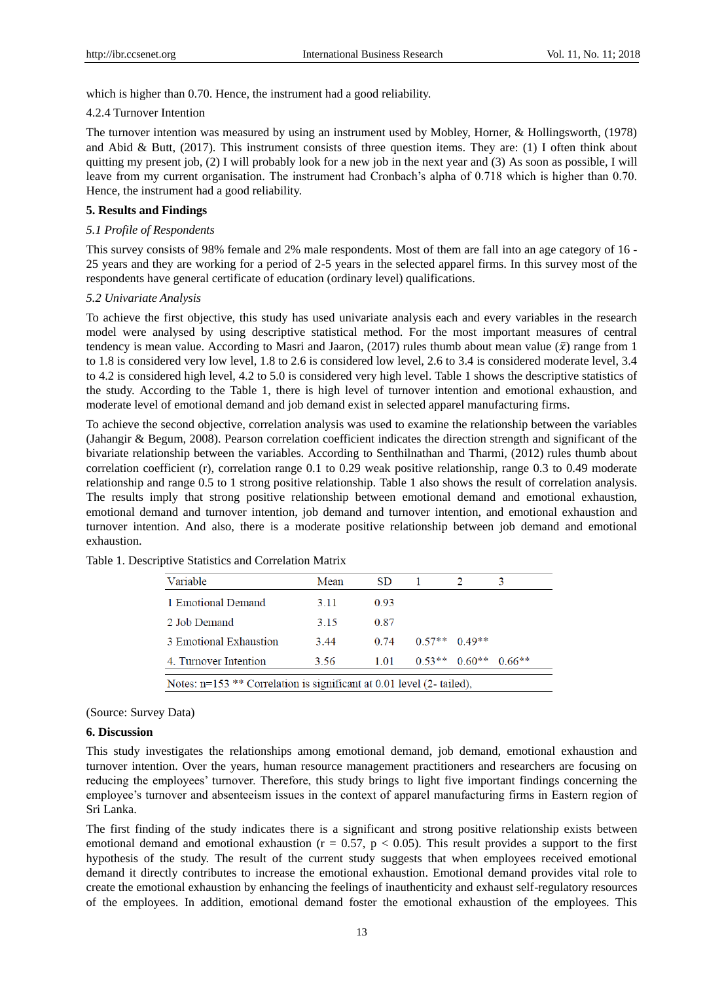which is higher than 0.70. Hence, the instrument had a good reliability.

#### 4.2.4 Turnover Intention

The turnover intention was measured by using an instrument used by Mobley, Horner, & Hollingsworth, (1978) and Abid & Butt,  $(2017)$ . This instrument consists of three question items. They are: (1) I often think about quitting my present job, (2) I will probably look for a new job in the next year and (3) As soon as possible, I will leave from my current organisation. The instrument had Cronbach's alpha of 0.718 which is higher than 0.70. Hence, the instrument had a good reliability.

## **5. Results and Findings**

## *5.1 Profile of Respondents*

This survey consists of 98% female and 2% male respondents. Most of them are fall into an age category of 16 - 25 years and they are working for a period of 2-5 years in the selected apparel firms. In this survey most of the respondents have general certificate of education (ordinary level) qualifications.

#### *5.2 Univariate Analysis*

To achieve the first objective, this study has used univariate analysis each and every variables in the research model were analysed by using descriptive statistical method. For the most important measures of central tendency is mean value. According to Masri and Jaaron, (2017) rules thumb about mean value ( $\bar{x}$ ) range from 1 to 1.8 is considered very low level, 1.8 to 2.6 is considered low level, 2.6 to 3.4 is considered moderate level, 3.4 to 4.2 is considered high level, 4.2 to 5.0 is considered very high level. Table 1 shows the descriptive statistics of the study. According to the Table 1, there is high level of turnover intention and emotional exhaustion, and moderate level of emotional demand and job demand exist in selected apparel manufacturing firms.

To achieve the second objective, correlation analysis was used to examine the relationship between the variables (Jahangir & Begum, 2008). Pearson correlation coefficient indicates the direction strength and significant of the bivariate relationship between the variables. According to Senthilnathan and Tharmi, (2012) rules thumb about correlation coefficient (r), correlation range 0.1 to 0.29 weak positive relationship, range 0.3 to 0.49 moderate relationship and range 0.5 to 1 strong positive relationship. Table 1 also shows the result of correlation analysis. The results imply that strong positive relationship between emotional demand and emotional exhaustion, emotional demand and turnover intention, job demand and turnover intention, and emotional exhaustion and turnover intention. And also, there is a moderate positive relationship between job demand and emotional exhaustion.

| Variable               | Mean | SD.  |                   |          |
|------------------------|------|------|-------------------|----------|
| 1 Emotional Demand     | 3.11 | 0.93 |                   |          |
| 2 Job Demand           | 3.15 | 0.87 |                   |          |
| 3 Emotional Exhaustion | 3.44 | 0.74 | $0.57**$ $0.49**$ |          |
| 4. Turnover Intention  | 3.56 | 1.01 | $0.53***$ 0.60**  | $0.66**$ |

Table 1. Descriptive Statistics and Correlation Matrix

#### (Source: Survey Data)

#### **6. Discussion**

This study investigates the relationships among emotional demand, job demand, emotional exhaustion and turnover intention. Over the years, human resource management practitioners and researchers are focusing on reducing the employees" turnover. Therefore, this study brings to light five important findings concerning the employee"s turnover and absenteeism issues in the context of apparel manufacturing firms in Eastern region of Sri Lanka.

The first finding of the study indicates there is a significant and strong positive relationship exists between emotional demand and emotional exhaustion ( $r = 0.57$ ,  $p < 0.05$ ). This result provides a support to the first hypothesis of the study. The result of the current study suggests that when employees received emotional demand it directly contributes to increase the emotional exhaustion. Emotional demand provides vital role to create the emotional exhaustion by enhancing the feelings of inauthenticity and exhaust self-regulatory resources of the employees. In addition, emotional demand foster the emotional exhaustion of the employees. This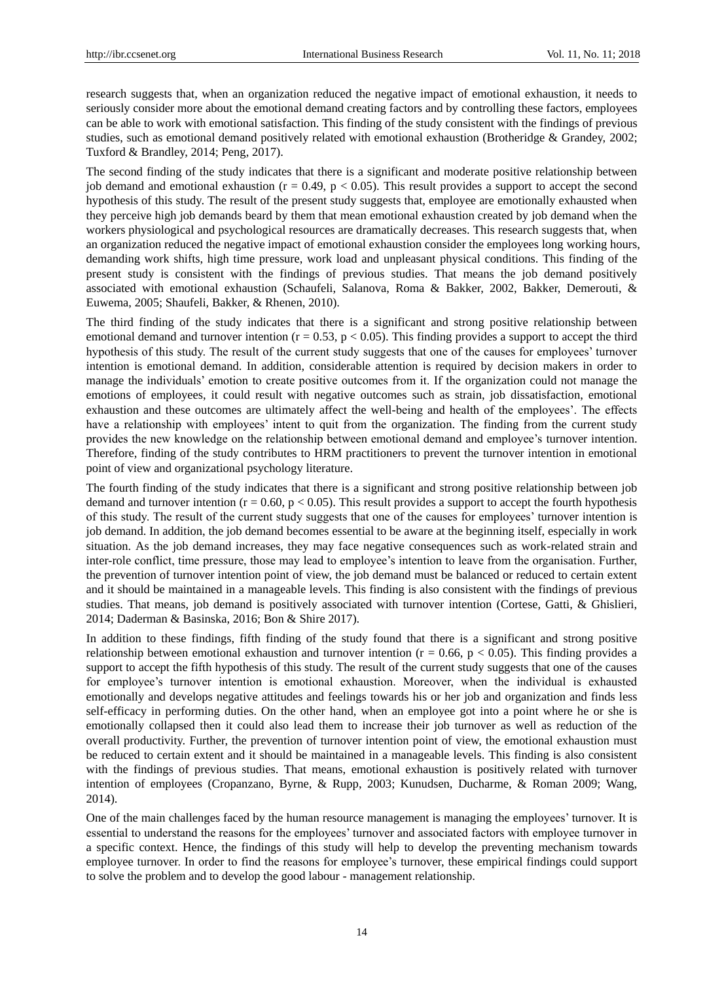research suggests that, when an organization reduced the negative impact of emotional exhaustion, it needs to seriously consider more about the emotional demand creating factors and by controlling these factors, employees can be able to work with emotional satisfaction. This finding of the study consistent with the findings of previous studies, such as emotional demand positively related with emotional exhaustion (Brotheridge & Grandey, 2002; Tuxford & Brandley, 2014; Peng, 2017).

The second finding of the study indicates that there is a significant and moderate positive relationship between job demand and emotional exhaustion ( $r = 0.49$ ,  $p < 0.05$ ). This result provides a support to accept the second hypothesis of this study. The result of the present study suggests that, employee are emotionally exhausted when they perceive high job demands beard by them that mean emotional exhaustion created by job demand when the workers physiological and psychological resources are dramatically decreases. This research suggests that, when an organization reduced the negative impact of emotional exhaustion consider the employees long working hours, demanding work shifts, high time pressure, work load and unpleasant physical conditions. This finding of the present study is consistent with the findings of previous studies. That means the job demand positively associated with emotional exhaustion (Schaufeli, Salanova, Roma & Bakker, 2002, Bakker, Demerouti, & Euwema, 2005; Shaufeli, Bakker, & Rhenen, 2010).

The third finding of the study indicates that there is a significant and strong positive relationship between emotional demand and turnover intention  $(r = 0.53, p < 0.05)$ . This finding provides a support to accept the third hypothesis of this study. The result of the current study suggests that one of the causes for employees" turnover intention is emotional demand. In addition, considerable attention is required by decision makers in order to manage the individuals' emotion to create positive outcomes from it. If the organization could not manage the emotions of employees, it could result with negative outcomes such as strain, job dissatisfaction, emotional exhaustion and these outcomes are ultimately affect the well-being and health of the employees". The effects have a relationship with employees' intent to quit from the organization. The finding from the current study provides the new knowledge on the relationship between emotional demand and employee"s turnover intention. Therefore, finding of the study contributes to HRM practitioners to prevent the turnover intention in emotional point of view and organizational psychology literature.

The fourth finding of the study indicates that there is a significant and strong positive relationship between job demand and turnover intention ( $r = 0.60$ ,  $p < 0.05$ ). This result provides a support to accept the fourth hypothesis of this study. The result of the current study suggests that one of the causes for employees" turnover intention is job demand. In addition, the job demand becomes essential to be aware at the beginning itself, especially in work situation. As the job demand increases, they may face negative consequences such as work-related strain and inter-role conflict, time pressure, those may lead to employee"s intention to leave from the organisation. Further, the prevention of turnover intention point of view, the job demand must be balanced or reduced to certain extent and it should be maintained in a manageable levels. This finding is also consistent with the findings of previous studies. That means, job demand is positively associated with turnover intention (Cortese, Gatti, & Ghislieri, 2014; Daderman & Basinska, 2016; Bon & Shire 2017).

In addition to these findings, fifth finding of the study found that there is a significant and strong positive relationship between emotional exhaustion and turnover intention ( $r = 0.66$ ,  $p < 0.05$ ). This finding provides a support to accept the fifth hypothesis of this study. The result of the current study suggests that one of the causes for employee's turnover intention is emotional exhaustion. Moreover, when the individual is exhausted emotionally and develops negative attitudes and feelings towards his or her job and organization and finds less self-efficacy in performing duties. On the other hand, when an employee got into a point where he or she is emotionally collapsed then it could also lead them to increase their job turnover as well as reduction of the overall productivity. Further, the prevention of turnover intention point of view, the emotional exhaustion must be reduced to certain extent and it should be maintained in a manageable levels. This finding is also consistent with the findings of previous studies. That means, emotional exhaustion is positively related with turnover intention of employees (Cropanzano, Byrne, & Rupp, 2003; Kunudsen, Ducharme, & Roman 2009; Wang, 2014).

One of the main challenges faced by the human resource management is managing the employees' turnover. It is essential to understand the reasons for the employees" turnover and associated factors with employee turnover in a specific context. Hence, the findings of this study will help to develop the preventing mechanism towards employee turnover. In order to find the reasons for employee"s turnover, these empirical findings could support to solve the problem and to develop the good labour - management relationship.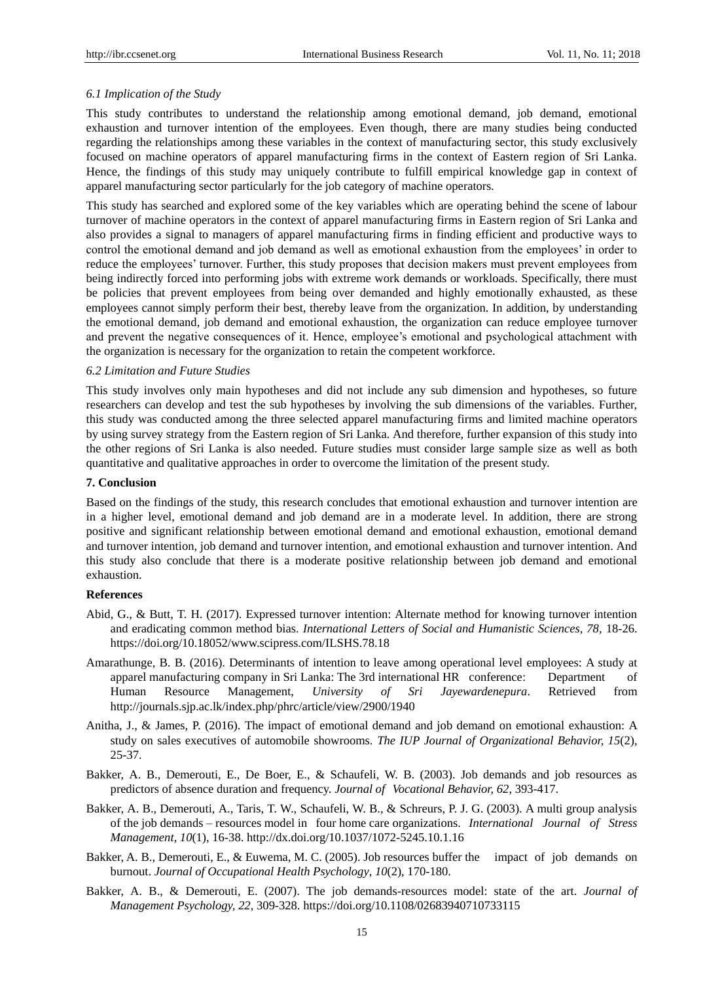# *6.1 Implication of the Study*

This study contributes to understand the relationship among emotional demand, job demand, emotional exhaustion and turnover intention of the employees. Even though, there are many studies being conducted regarding the relationships among these variables in the context of manufacturing sector, this study exclusively focused on machine operators of apparel manufacturing firms in the context of Eastern region of Sri Lanka. Hence, the findings of this study may uniquely contribute to fulfill empirical knowledge gap in context of apparel manufacturing sector particularly for the job category of machine operators.

This study has searched and explored some of the key variables which are operating behind the scene of labour turnover of machine operators in the context of apparel manufacturing firms in Eastern region of Sri Lanka and also provides a signal to managers of apparel manufacturing firms in finding efficient and productive ways to control the emotional demand and job demand as well as emotional exhaustion from the employees' in order to reduce the employees" turnover. Further, this study proposes that decision makers must prevent employees from being indirectly forced into performing jobs with extreme work demands or workloads. Specifically, there must be policies that prevent employees from being over demanded and highly emotionally exhausted, as these employees cannot simply perform their best, thereby leave from the organization. In addition, by understanding the emotional demand, job demand and emotional exhaustion, the organization can reduce employee turnover and prevent the negative consequences of it. Hence, employee's emotional and psychological attachment with the organization is necessary for the organization to retain the competent workforce.

#### *6.2 Limitation and Future Studies*

This study involves only main hypotheses and did not include any sub dimension and hypotheses, so future researchers can develop and test the sub hypotheses by involving the sub dimensions of the variables. Further, this study was conducted among the three selected apparel manufacturing firms and limited machine operators by using survey strategy from the Eastern region of Sri Lanka. And therefore, further expansion of this study into the other regions of Sri Lanka is also needed. Future studies must consider large sample size as well as both quantitative and qualitative approaches in order to overcome the limitation of the present study.

# **7. Conclusion**

Based on the findings of the study, this research concludes that emotional exhaustion and turnover intention are in a higher level, emotional demand and job demand are in a moderate level. In addition, there are strong positive and significant relationship between emotional demand and emotional exhaustion, emotional demand and turnover intention, job demand and turnover intention, and emotional exhaustion and turnover intention. And this study also conclude that there is a moderate positive relationship between job demand and emotional exhaustion.

#### **References**

- Abid, G., & Butt, T. H. (2017). Expressed turnover intention: Alternate method for knowing turnover intention and eradicating common method bias. *International Letters of Social and Humanistic Sciences*, 78, 18-26. https://doi.org/10.18052/www.scipress.com/ILSHS.78.18
- Amarathunge, B. B. (2016). Determinants of intention to leave among operational level employees: A study at apparel manufacturing company in Sri Lanka: The 3rd international HR conference: Department of Human Resource Management, *University of Sri Jayewardenepura*. Retrieved from http://journals.sjp.ac.lk/index.php/phrc/article/view/2900/1940
- Anitha, J., & James, P. (2016). The impact of emotional demand and job demand on emotional exhaustion: A study on sales executives of automobile showrooms. *The IUP Journal of Organizational Behavior, 15*(2), 25-37.
- Bakker, A. B., Demerouti, E., De Boer, E., & Schaufeli, W. B. (2003). Job demands and job resources as predictors of absence duration and frequency. *Journal of Vocational Behavior, 62*, 393-417.
- Bakker, A. B., Demerouti, A., Taris, T. W., Schaufeli, W. B., & Schreurs, P. J. G. (2003). A multi group analysis of the job demands – resources model in four home care organizations. *International Journal of Stress Management*, *10*(1), 16-38. http://dx.doi.org/10.1037/1072-5245.10.1.16
- Bakker, A. B., Demerouti, E., & Euwema, M. C. (2005). Job resources buffer the impact of job demands on burnout. *Journal of Occupational Health Psychology*, *10*(2), 170-180.
- Bakker, A. B., & Demerouti, E. (2007). The job demands-resources model: state of the art. *Journal of Management Psychology, 22*, 309-328. https://doi.org/10.1108/02683940710733115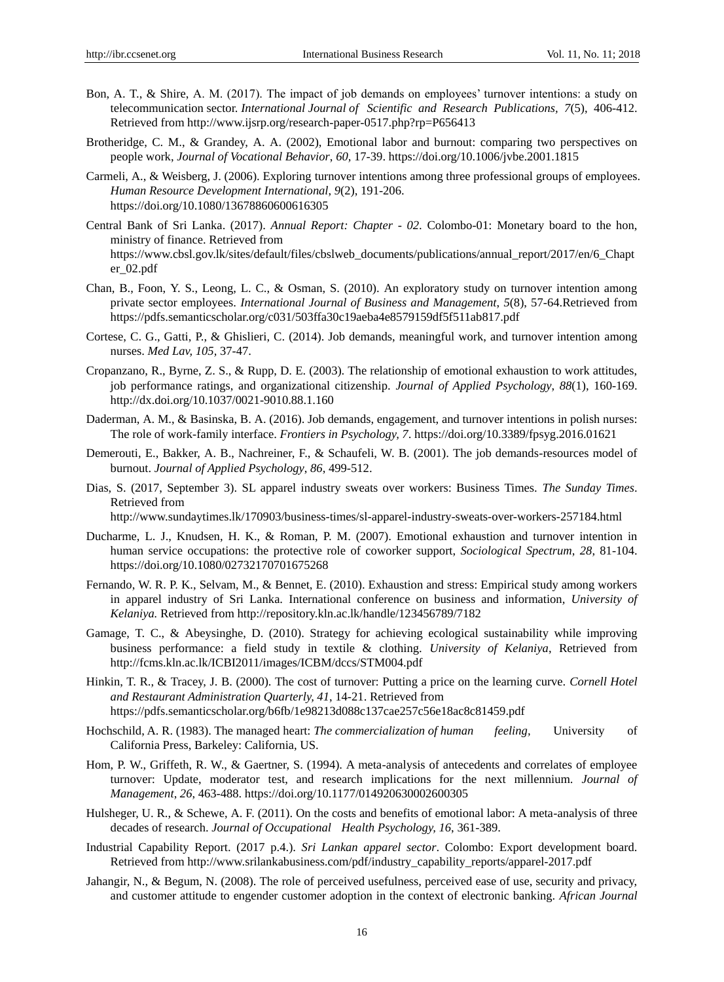- Bon, A. T., & Shire, A. M. (2017). The impact of job demands on employees' turnover intentions: a study on telecommunication sector. *International Journal of Scientific and Research Publications, 7*(5), 406-412. Retrieved from http://www.ijsrp.org/research-paper-0517.php?rp=P656413
- Brotheridge, C. M., & Grandey, A. A. (2002), Emotional labor and burnout: comparing two perspectives on people work, *Journal of Vocational Behavior*, *60,* 17-39. https://doi.org/10.1006/jvbe.2001.1815
- Carmeli, A., & Weisberg, J. (2006). Exploring turnover intentions among three professional groups of employees. *Human Resource Development International*, *9*(2), 191-206. https://doi.org/10.1080/13678860600616305
- Central Bank of Sri Lanka. (2017). *Annual Report: Chapter - 02*. Colombo-01: Monetary board to the hon, ministry of finance. Retrieved from [https://www.cbsl.gov.lk/sites/default/files/cbslweb\\_documents/publications/annual\\_report/2017](https://www.cbsl.gov.lk/sites/default/files/cbslweb_documents/publications/annual_report/201)/en/6\_Chapt er\_02.pdf
- Chan, B., Foon, Y. S., Leong, L. C., & Osman, S. (2010). An exploratory study on turnover intention among private sector employees. *International Journal of Business and Management*, *5*(8), 57-64.Retrieved from https://pdfs.semanticscholar.org/c031/503ffa30c19aeba4e8579159df5f511ab817.pdf
- Cortese, C. G., Gatti, P., & Ghislieri, C. (2014). Job demands, meaningful work, and turnover intention among nurses. *Med Lav, 105,* 37-47.
- Cropanzano, R., Byrne, Z. S., & Rupp, D. E. (2003). The relationship of emotional exhaustion to work attitudes, job performance ratings, and organizational citizenship. *Journal of Applied Psychology*, *88*(1), 160-169. http://dx.doi.org/10.1037/0021-9010.88.1.160
- Daderman, A. M., & Basinska, B. A. (2016). Job demands, engagement, and turnover intentions in polish nurses: The role of work-family interface. *Frontiers in Psychology, 7*. https://doi.org/10.3389/fpsyg.2016.01621
- Demerouti, E., Bakker, A. B., Nachreiner, F., & Schaufeli, W. B. (2001). The job demands-resources model of burnout. *Journal of Applied Psychology*, *86*, 499-512.
- Dias, S. (2017, September 3). SL apparel industry sweats over workers: Business Times. *The Sunday Times*. Retrieved from

[http://www.sundaytimes.lk/170903/business-times/sl-apparel-industry-sweats-o](http://www.sundaytimes.lk/170903/business-times/sl-apparel-industry-sweats-)ver-workers-257184.html

- Ducharme, L. J., Knudsen, H. K., & Roman, P. M. (2007). Emotional exhaustion and turnover intention in human service occupations: the protective role of coworker support, *Sociological Spectrum*, *28*, 81-104. https://doi.org/10.1080/02732170701675268
- Fernando, W. R. P. K., Selvam, M., & Bennet, E. (2010). Exhaustion and stress: Empirical study among workers in apparel industry of Sri Lanka. International conference on business and information*, University of Kelaniya.* Retrieved from<http://repository.kln.ac.lk/handle/123456789/7182>
- Gamage, T. C., & Abeysinghe, D. (2010). Strategy for achieving ecological sustainability while improving business performance: a field study in textile & clothing. *University of Kelaniya*, Retrieved from http://fcms.kln.ac.lk/ICBI2011/images/ICBM/dccs/STM004.pdf
- Hinkin, T. R., & Tracey, J. B. (2000). The cost of turnover: Putting a price on the learning curve. *Cornell Hotel and Restaurant Administration Quarterly, 41*, 14-21. Retrieved from https://pdfs.semanticscholar.org/b6fb/1e98213d088c137cae257c56e18ac8c81459.pdf
- Hochschild, A. R. (1983). The managed heart: *The commercialization of human feeling,* University of California Press, Barkeley: California, US.
- Hom, P. W., Griffeth, R. W., & Gaertner, S. (1994). A meta-analysis of antecedents and correlates of employee turnover: Update, moderator test, and research implications for the next millennium. *Journal of Management*, *26*, 463-488. https://doi.org/10.1177/014920630002600305
- Hulsheger, U. R., & Schewe, A. F. (2011). On the costs and benefits of emotional labor: A meta-analysis of three decades of research. *Journal of Occupational Health Psychology, 16*, 361-389.
- Industrial Capability Report. (2017 p.4.). *Sri Lankan apparel sector*. Colombo: Export development board. Retrieved from http://www.srilankabusiness.com/pdf/industry\_capability\_reports/apparel-2017.pdf
- Jahangir, N., & Begum, N. (2008). The role of perceived usefulness, perceived ease of use, security and privacy, and customer attitude to engender customer adoption in the context of electronic banking. *African Journal*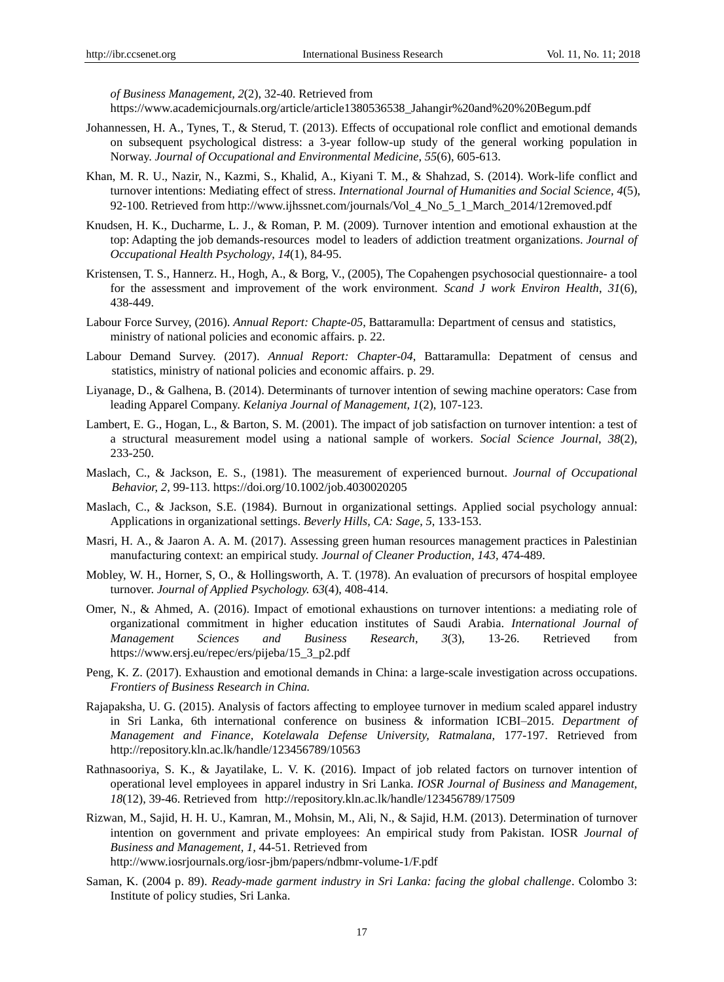*of Business Management, 2*(2), 32-40. Retrieved from

https://www.academicjournals.org/article/article1380536538\_Jahangir%20and%20%20Begum.pdf

- Johannessen, H. A., Tynes, T., & Sterud, T. (2013). Effects of occupational role conflict and emotional demands on subsequent psychological distress: a 3-year follow-up study of the general working population in Norway. *Journal of Occupational and Environmental Medicine*, *55*(6), 605-613.
- Khan, M. R. U., Nazir, N., Kazmi, S., Khalid, A., Kiyani T. M., & Shahzad, S. (2014). Work-life conflict and turnover intentions: Mediating effect of stress. *International Journal of Humanities and Social Science, 4*(5), 92-100. Retrieved from http://www.ijhssnet.com/journals/Vol 4 No 5 1 March 2014/12removed.pdf
- Knudsen, H. K., Ducharme, L. J., & Roman, P. M. (2009). Turnover intention and emotional exhaustion at the top: Adapting the job demands-resources model to leaders of addiction treatment organizations. *Journal of Occupational Health Psychology*, *14*(1), 84-95.
- Kristensen, T. S., Hannerz. H., Hogh, A., & Borg, V., (2005), The Copahengen psychosocial questionnaire- a tool for the assessment and improvement of the work environment. *Scand J work Environ Health*, *31*(6), 438-449.
- Labour Force Survey, (2016). *Annual Report: Chapte-05*, Battaramulla: Department of census and statistics, ministry of national policies and economic affairs. p. 22.
- Labour Demand Survey. (2017). *Annual Report: Chapter-04*, Battaramulla: Depatment of census and statistics, ministry of national policies and economic affairs. p. 29.
- Liyanage, D., & Galhena, B. (2014). Determinants of turnover intention of sewing machine operators: Case from leading Apparel Company. *Kelaniya Journal of Management, 1*(2), 107-123.
- Lambert, E. G., Hogan, L., & Barton, S. M. (2001). The impact of job satisfaction on turnover intention: a test of a structural measurement model using a national sample of workers. *Social Science Journal*, *38*(2), 233-250.
- Maslach, C., & Jackson, E. S., (1981). The measurement of experienced burnout. *Journal of Occupational Behavior, 2,* 99-113. https://doi.org/10.1002/job.4030020205
- Maslach, C., & Jackson, S.E. (1984). Burnout in organizational settings. Applied social psychology annual: Applications in organizational settings. *Beverly Hills, CA: Sage*, *5*, 133-153.
- Masri, H. A., & Jaaron A. A. M. (2017). Assessing green human resources management practices in Palestinian manufacturing context: an empirical study. *Journal of Cleaner Production, 143,* 474-489.
- Mobley, W. H., Horner, S, O., & Hollingsworth, A. T. (1978). An evaluation of precursors of hospital employee turnover. *Journal of Applied Psychology. 63*(4), 408-414.
- Omer, N., & Ahmed, A. (2016). Impact of emotional exhaustions on turnover intentions: a mediating role of organizational commitment in higher education institutes of Saudi Arabia. *International Journal of Management Sciences and Business Research*, *3*(3), 13-26. Retrieved from https://www.ersj.eu/repec/ers/pijeba/15\_3\_p2.pdf
- Peng, K. Z. (2017). Exhaustion and emotional demands in China: a large-scale investigation across occupations. *Frontiers of Business Research in China.*
- Rajapaksha, U. G. (2015). Analysis of factors affecting to employee turnover in medium scaled apparel industry in Sri Lanka, 6th international conference on business & information ICBI–2015. *Department of Management and Finance, Kotelawala Defense University, Ratmalana,* 177-197. Retrieved from http://repository.kln.ac.lk/handle/123456789/10563
- Rathnasooriya, S. K., & Jayatilake, L. V. K. (2016). Impact of job related factors on turnover intention of operational level employees in apparel industry in Sri Lanka. *IOSR Journal of Business and Management, 18*(12), 39-46. Retrieved from http://repository.kln.ac.lk/handle/123456789/17509
- Rizwan, M., Sajid, H. H. U., Kamran, M., Mohsin, M., Ali, N., & Sajid, H.M. (2013). Determination of turnover intention on government and private employees: An empirical study from Pakistan. IOSR *Journal of Business and Management, 1,* 44-51. Retrieved from http://www.iosrjournals.org/iosr-jbm/papers/ndbmr-volume-1/F.pdf
- Saman, K. (2004 p. 89). *Ready-made garment industry in Sri Lanka: facing the global challenge*. Colombo 3: Institute of policy studies, Sri Lanka.